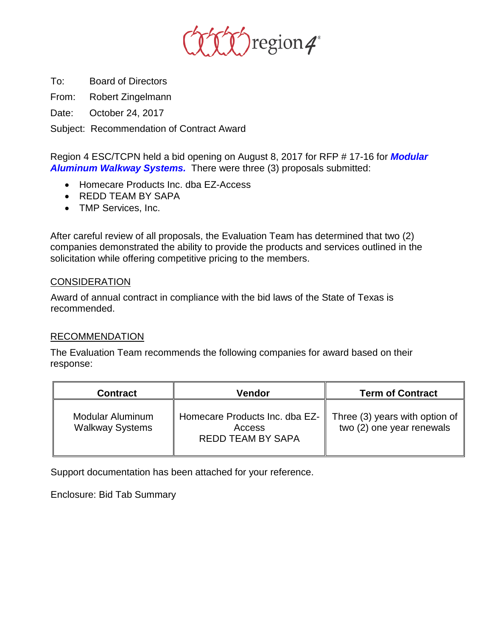

To: Board of Directors

From: Robert Zingelmann

Date: October 24, 2017

Subject: Recommendation of Contract Award

Region 4 ESC/TCPN held a bid opening on August 8, 2017 for RFP # 17-16 for *Modular Aluminum Walkway Systems.* There were three (3) proposals submitted:

- Homecare Products Inc. dba EZ-Access
- REDD TEAM BY SAPA
- TMP Services, Inc.

After careful review of all proposals, the Evaluation Team has determined that two (2) companies demonstrated the ability to provide the products and services outlined in the solicitation while offering competitive pricing to the members.

## **CONSIDERATION**

Award of annual contract in compliance with the bid laws of the State of Texas is recommended.

## RECOMMENDATION

The Evaluation Team recommends the following companies for award based on their response:

| <b>Contract</b>                            | Vendor                                                               | <b>Term of Contract</b>                                     |
|--------------------------------------------|----------------------------------------------------------------------|-------------------------------------------------------------|
| Modular Aluminum<br><b>Walkway Systems</b> | Homecare Products Inc. dba EZ-<br>Access<br><b>REDD TEAM BY SAPA</b> | Three (3) years with option of<br>two (2) one year renewals |

Support documentation has been attached for your reference.

Enclosure: Bid Tab Summary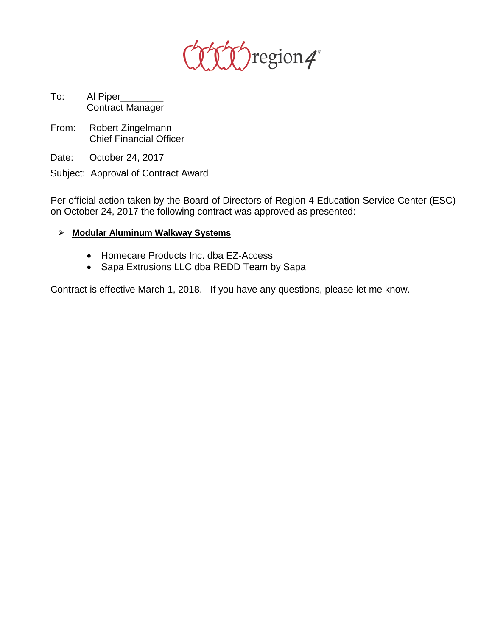

- To: Al Piper Contract Manager
- From: Robert Zingelmann Chief Financial Officer
- Date: October 24, 2017
- Subject: Approval of Contract Award

Per official action taken by the Board of Directors of Region 4 Education Service Center (ESC) on October 24, 2017 the following contract was approved as presented:

- **Modular Aluminum Walkway Systems**
	- Homecare Products Inc. dba EZ-Access
	- Sapa Extrusions LLC dba REDD Team by Sapa

Contract is effective March 1, 2018. If you have any questions, please let me know.